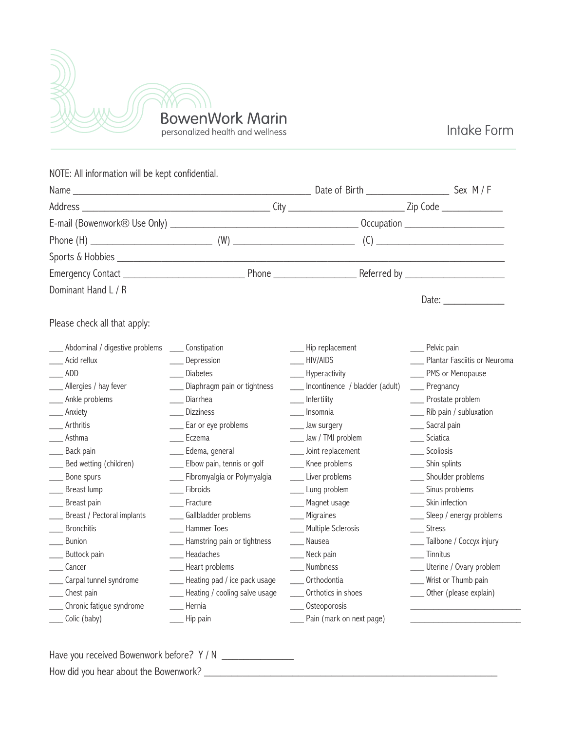

Intake Form

| NOTE: All information will be kept confidential. |                                              |                                |                            |                                                                                                                                                                                                                               |
|--------------------------------------------------|----------------------------------------------|--------------------------------|----------------------------|-------------------------------------------------------------------------------------------------------------------------------------------------------------------------------------------------------------------------------|
| Name                                             |                                              |                                |                            |                                                                                                                                                                                                                               |
|                                                  |                                              |                                |                            |                                                                                                                                                                                                                               |
|                                                  |                                              |                                |                            |                                                                                                                                                                                                                               |
|                                                  |                                              |                                |                            |                                                                                                                                                                                                                               |
|                                                  |                                              |                                |                            |                                                                                                                                                                                                                               |
|                                                  |                                              |                                |                            |                                                                                                                                                                                                                               |
| Dominant Hand L / R                              |                                              |                                |                            | Date: and the state of the state of the state of the state of the state of the state of the state of the state of the state of the state of the state of the state of the state of the state of the state of the state of the |
| Please check all that apply:                     |                                              |                                |                            |                                                                                                                                                                                                                               |
| Abdominal / digestive problems                   | _____ Constipation                           | Hip replacement                | Pelvic pain                |                                                                                                                                                                                                                               |
| Acid reflux                                      | Depression                                   | HIV/AIDS                       |                            | Plantar Fasciitis or Neuroma                                                                                                                                                                                                  |
| ADD                                              | Diabetes                                     | Hyperactivity                  |                            | PMS or Menopause                                                                                                                                                                                                              |
| Allergies / hay fever                            | Diaphragm pain or tightness                  | Incontinence / bladder (adult) | __ Pregnancy               |                                                                                                                                                                                                                               |
| Ankle problems                                   | Diarrhea                                     | Infertility                    | ___ Prostate problem       |                                                                                                                                                                                                                               |
| Anxiety                                          | Dizziness                                    | Insomnia                       | ___ Rib pain / subluxation |                                                                                                                                                                                                                               |
| Arthritis                                        | Ear or eye problems                          | Jaw surgery                    | __ Sacral pain             |                                                                                                                                                                                                                               |
| Asthma                                           | Eczema                                       | ____ Jaw / TMJ problem         | ____ Sciatica              |                                                                                                                                                                                                                               |
| Back pain                                        | Edema, general                               | Joint replacement              | ____ Scoliosis             |                                                                                                                                                                                                                               |
| Bed wetting (children)                           | ____ Elbow pain, tennis or golf              | ___ Knee problems              | _____ Shin splints         |                                                                                                                                                                                                                               |
| Bone spurs                                       | Fibromyalgia or Polymyalgia<br>$\mathcal{L}$ | Liver problems                 | ___ Shoulder problems      |                                                                                                                                                                                                                               |
| Breast lump                                      | Fibroids                                     | Lung problem                   | ____ Sinus problems        |                                                                                                                                                                                                                               |
| Breast pain                                      | Fracture                                     | Magnet usage                   | ____ Skin infection        |                                                                                                                                                                                                                               |
| Breast / Pectoral implants                       | ___ Gallbladder problems                     | Migraines                      |                            | ___ Sleep / energy problems                                                                                                                                                                                                   |
| <b>Bronchitis</b>                                | Hammer Toes                                  | Multiple Sclerosis             | <b>Stress</b>              |                                                                                                                                                                                                                               |
| Bunion                                           | ___ Hamstring pain or tightness              | Nausea                         |                            | ___ Tailbone / Coccyx injury                                                                                                                                                                                                  |
| Buttock pain                                     | Headaches                                    | Neck pain                      | Tinnitus                   |                                                                                                                                                                                                                               |
| Cancer                                           | Heart problems                               | Numbness                       |                            | Uterine / Ovary problem                                                                                                                                                                                                       |
| Carpal tunnel syndrome                           | Heating pad / ice pack usage                 | Orthodontia                    |                            | Wrist or Thumb pain                                                                                                                                                                                                           |
| Chest pain                                       | - Heating / cooling salve usage              | Orthotics in shoes             |                            | ____ Other (please explain)                                                                                                                                                                                                   |
| Chronic fatigue syndrome                         | Hernia                                       | Osteoporosis                   |                            |                                                                                                                                                                                                                               |
| Colic (baby)                                     | __ Hip pain                                  | Pain (mark on next page)       |                            |                                                                                                                                                                                                                               |

Have you received Bowenwork before? Y / N \_\_\_\_\_\_\_\_\_\_\_\_\_\_\_\_\_

How did you hear about the Bowenwork? \_\_\_\_\_\_\_\_\_\_\_\_\_\_\_\_\_\_\_\_\_\_\_\_\_\_\_\_\_\_\_\_\_\_\_\_\_\_\_\_\_\_\_\_\_\_\_\_\_\_\_\_\_